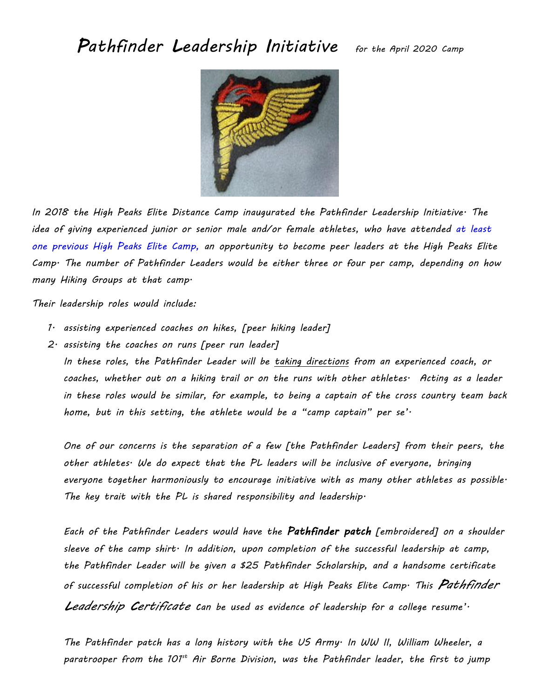*Pathfinder Leadership Initiative for the April 2020 Camp*



*In 2018 the High Peaks Elite Distance Camp inaugurated the Pathfinder Leadership Initiative. The idea of giving experienced junior or senior male and/or female athletes, who have attended at least one previous High Peaks Elite Camp, an opportunity to become peer leaders at the High Peaks Elite Camp. The number of Pathfinder Leaders would be either three or four per camp, depending on how many Hiking Groups at that camp.*

*Their leadership roles would include:*

- *1. assisting experienced coaches on hikes, [peer hiking leader]*
- *2. assisting the coaches on runs [peer run leader]*

*In these roles, the Pathfinder Leader will be taking directions from an experienced coach, or coaches, whether out on a hiking trail or on the runs with other athletes. Acting as a leader in these roles would be similar, for example, to being a captain of the cross country team back home, but in this setting, the athlete would be a "camp captain" per se'.*

*One of our concerns is the separation of a few [the Pathfinder Leaders] from their peers, the other athletes. We do expect that the PL leaders will be inclusive of everyone, bringing everyone together harmoniously to encourage initiative with as many other athletes as possible. The key trait with the PL is shared responsibility and leadership.*

*Each of the Pathfinder Leaders would have the Pathfinder patch [embroidered] on a shoulder sleeve of the camp shirt. In addition, upon completion of the successful leadership at camp, the Pathfinder Leader will be given a \$25 Pathfinder Scholarship, and a handsome certificate of successful completion of his or her leadership at High Peaks Elite Camp. This Pathfinder Leadership Certificate can be used as evidence of leadership for a college resume'.*

*The Pathfinder patch has a long history with the US Army. In WW II, William Wheeler, a paratrooper from the 101st Air Borne Division, was the Pathfinder leader, the first to jump*